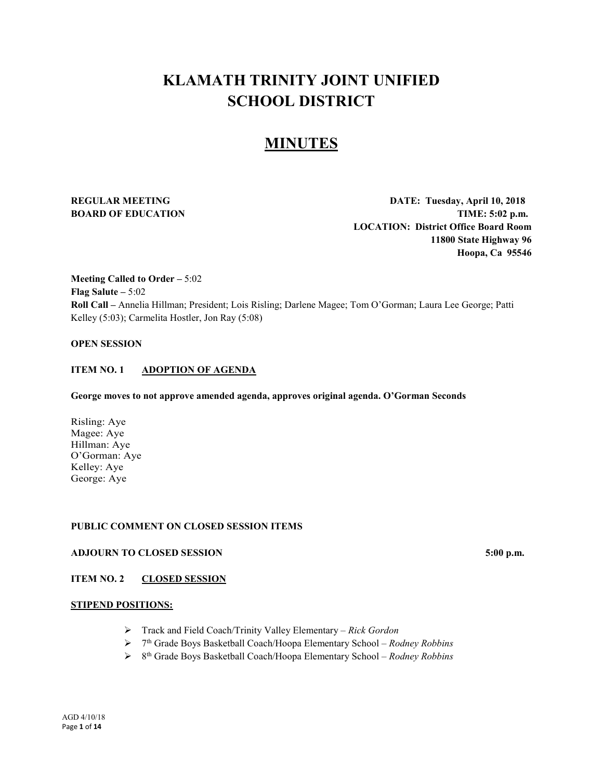# **KLAMATH TRINITY JOINT UNIFIED SCHOOL DISTRICT**

# **MINUTES**

**REGULAR MEETING DATE: Tuesday, April 10, 2018 BOARD OF EDUCATION TIME:** 5:02 p.m. **LOCATION: District Office Board Room 11800 State Highway 96 Hoopa, Ca 95546**

**Meeting Called to Order –** 5:02 **Flag Salute –** 5:02 **Roll Call –** Annelia Hillman; President; Lois Risling; Darlene Magee; Tom O'Gorman; Laura Lee George; Patti Kelley (5:03); Carmelita Hostler, Jon Ray (5:08)

# **OPEN SESSION**

## **ITEM NO. 1 ADOPTION OF AGENDA**

#### **George moves to not approve amended agenda, approves original agenda. O'Gorman Seconds**

Risling: Aye Magee: Aye Hillman: Aye O'Gorman: Aye Kelley: Aye George: Aye

# **PUBLIC COMMENT ON CLOSED SESSION ITEMS**

# **ADJOURN TO CLOSED SESSION 5:00 p.m.**

# **ITEM NO. 2 CLOSED SESSION**

#### **STIPEND POSITIONS:**

- Track and Field Coach/Trinity Valley Elementary *Rick Gordon*
- 7th Grade Boys Basketball Coach/Hoopa Elementary School *Rodney Robbins*
- 8th Grade Boys Basketball Coach/Hoopa Elementary School *Rodney Robbins*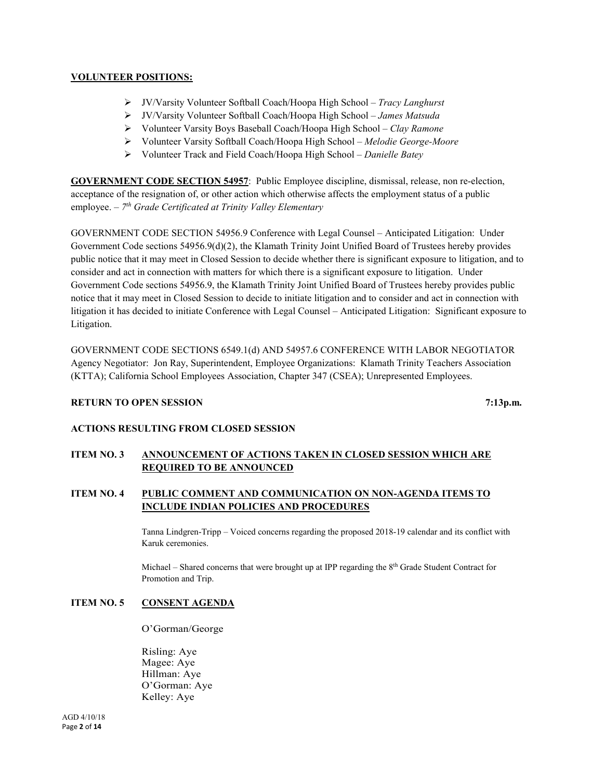# **VOLUNTEER POSITIONS:**

- JV/Varsity Volunteer Softball Coach/Hoopa High School *Tracy Langhurst*
- JV/Varsity Volunteer Softball Coach/Hoopa High School *James Matsuda*
- Volunteer Varsity Boys Baseball Coach/Hoopa High School *Clay Ramone*
- Volunteer Varsity Softball Coach/Hoopa High School *Melodie George-Moore*
- Volunteer Track and Field Coach/Hoopa High School *Danielle Batey*

**GOVERNMENT CODE SECTION 54957**: Public Employee discipline, dismissal, release, non re-election, acceptance of the resignation of, or other action which otherwise affects the employment status of a public employee. – *7th Grade Certificated at Trinity Valley Elementary* 

GOVERNMENT CODE SECTION 54956.9 Conference with Legal Counsel – Anticipated Litigation: Under Government Code sections 54956.9(d)(2), the Klamath Trinity Joint Unified Board of Trustees hereby provides public notice that it may meet in Closed Session to decide whether there is significant exposure to litigation, and to consider and act in connection with matters for which there is a significant exposure to litigation. Under Government Code sections 54956.9, the Klamath Trinity Joint Unified Board of Trustees hereby provides public notice that it may meet in Closed Session to decide to initiate litigation and to consider and act in connection with litigation it has decided to initiate Conference with Legal Counsel – Anticipated Litigation: Significant exposure to Litigation.

GOVERNMENT CODE SECTIONS 6549.1(d) AND 54957.6 CONFERENCE WITH LABOR NEGOTIATOR Agency Negotiator: Jon Ray, Superintendent, Employee Organizations: Klamath Trinity Teachers Association (KTTA); California School Employees Association, Chapter 347 (CSEA); Unrepresented Employees.

# **RETURN TO OPEN SESSION** 7:13p.m.

# **ACTIONS RESULTING FROM CLOSED SESSION**

# **ITEM NO. 3 ANNOUNCEMENT OF ACTIONS TAKEN IN CLOSED SESSION WHICH ARE REQUIRED TO BE ANNOUNCED**

# **ITEM NO. 4 PUBLIC COMMENT AND COMMUNICATION ON NON-AGENDA ITEMS TO INCLUDE INDIAN POLICIES AND PROCEDURES**

Tanna Lindgren-Tripp – Voiced concerns regarding the proposed 2018-19 calendar and its conflict with Karuk ceremonies.

Michael – Shared concerns that were brought up at IPP regarding the 8<sup>th</sup> Grade Student Contract for Promotion and Trip.

# **ITEM NO. 5 CONSENT AGENDA**

O'Gorman/George

Risling: Aye Magee: Aye Hillman: Aye O'Gorman: Aye Kelley: Aye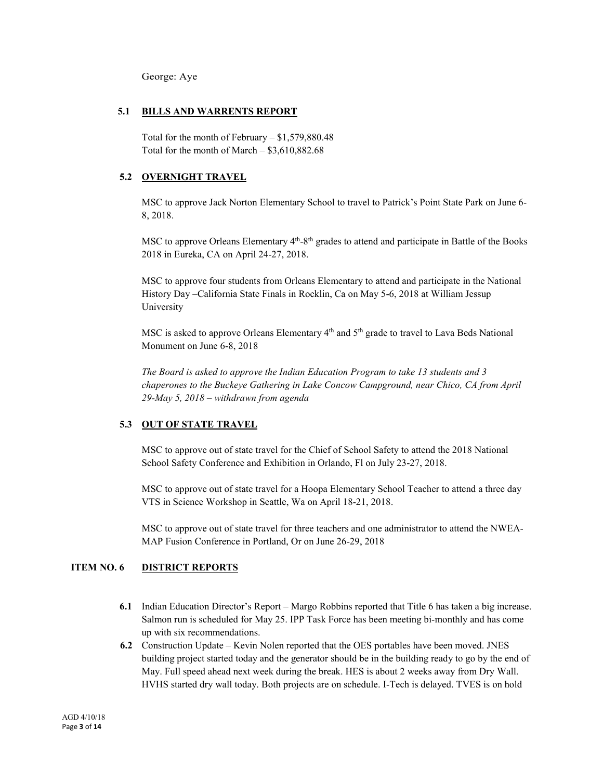George: Aye

#### **5.1 BILLS AND WARRENTS REPORT**

Total for the month of February – \$1,579,880.48 Total for the month of March – \$3,610,882.68

## **5.2 OVERNIGHT TRAVEL**

MSC to approve Jack Norton Elementary School to travel to Patrick's Point State Park on June 6- 8, 2018.

MSC to approve Orleans Elementary  $4<sup>th</sup>$ -8<sup>th</sup> grades to attend and participate in Battle of the Books 2018 in Eureka, CA on April 24-27, 2018.

MSC to approve four students from Orleans Elementary to attend and participate in the National History Day –California State Finals in Rocklin, Ca on May 5-6, 2018 at William Jessup University

MSC is asked to approve Orleans Elementary  $4<sup>th</sup>$  and  $5<sup>th</sup>$  grade to travel to Lava Beds National Monument on June 6-8, 2018

*The Board is asked to approve the Indian Education Program to take 13 students and 3 chaperones to the Buckeye Gathering in Lake Concow Campground, near Chico, CA from April 29-May 5, 2018 – withdrawn from agenda*

# **5.3 OUT OF STATE TRAVEL**

MSC to approve out of state travel for the Chief of School Safety to attend the 2018 National School Safety Conference and Exhibition in Orlando, Fl on July 23-27, 2018.

MSC to approve out of state travel for a Hoopa Elementary School Teacher to attend a three day VTS in Science Workshop in Seattle, Wa on April 18-21, 2018.

MSC to approve out of state travel for three teachers and one administrator to attend the NWEA-MAP Fusion Conference in Portland, Or on June 26-29, 2018

# **ITEM NO. 6 DISTRICT REPORTS**

- **6.1** Indian Education Director's Report Margo Robbins reported that Title 6 has taken a big increase. Salmon run is scheduled for May 25. IPP Task Force has been meeting bi-monthly and has come up with six recommendations.
- **6.2** Construction Update Kevin Nolen reported that the OES portables have been moved. JNES building project started today and the generator should be in the building ready to go by the end of May. Full speed ahead next week during the break. HES is about 2 weeks away from Dry Wall. HVHS started dry wall today. Both projects are on schedule. I-Tech is delayed. TVES is on hold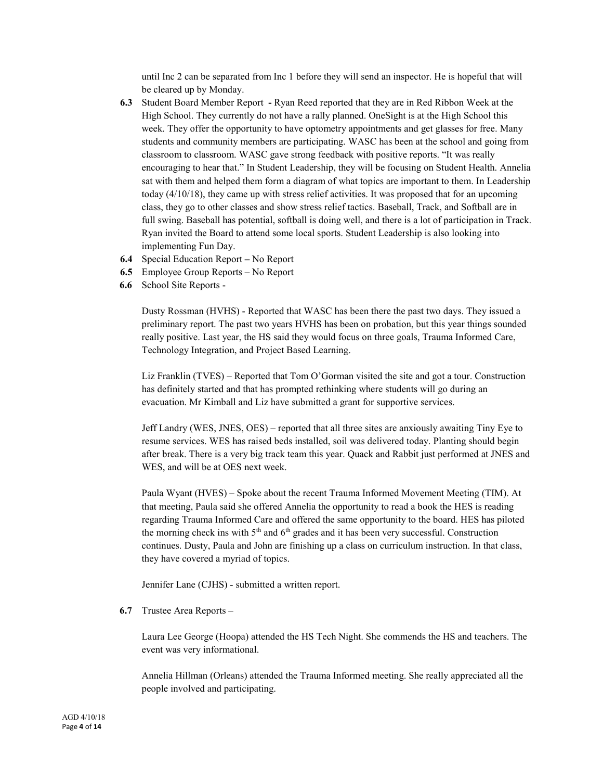until Inc 2 can be separated from Inc 1 before they will send an inspector. He is hopeful that will be cleared up by Monday.

- **6.3** Student Board Member Report **-** Ryan Reed reported that they are in Red Ribbon Week at the High School. They currently do not have a rally planned. OneSight is at the High School this week. They offer the opportunity to have optometry appointments and get glasses for free. Many students and community members are participating. WASC has been at the school and going from classroom to classroom. WASC gave strong feedback with positive reports. "It was really encouraging to hear that." In Student Leadership, they will be focusing on Student Health. Annelia sat with them and helped them form a diagram of what topics are important to them. In Leadership today (4/10/18), they came up with stress relief activities. It was proposed that for an upcoming class, they go to other classes and show stress relief tactics. Baseball, Track, and Softball are in full swing. Baseball has potential, softball is doing well, and there is a lot of participation in Track. Ryan invited the Board to attend some local sports. Student Leadership is also looking into implementing Fun Day.
- **6.4** Special Education Report **–** No Report
- **6.5** Employee Group Reports No Report
- **6.6** School Site Reports -

Dusty Rossman (HVHS) - Reported that WASC has been there the past two days. They issued a preliminary report. The past two years HVHS has been on probation, but this year things sounded really positive. Last year, the HS said they would focus on three goals, Trauma Informed Care, Technology Integration, and Project Based Learning.

Liz Franklin (TVES) – Reported that Tom O'Gorman visited the site and got a tour. Construction has definitely started and that has prompted rethinking where students will go during an evacuation. Mr Kimball and Liz have submitted a grant for supportive services.

Jeff Landry (WES, JNES, OES) – reported that all three sites are anxiously awaiting Tiny Eye to resume services. WES has raised beds installed, soil was delivered today. Planting should begin after break. There is a very big track team this year. Quack and Rabbit just performed at JNES and WES, and will be at OES next week.

Paula Wyant (HVES) – Spoke about the recent Trauma Informed Movement Meeting (TIM). At that meeting, Paula said she offered Annelia the opportunity to read a book the HES is reading regarding Trauma Informed Care and offered the same opportunity to the board. HES has piloted the morning check ins with  $5<sup>th</sup>$  and  $6<sup>th</sup>$  grades and it has been very successful. Construction continues. Dusty, Paula and John are finishing up a class on curriculum instruction. In that class, they have covered a myriad of topics.

Jennifer Lane (CJHS) - submitted a written report.

**6.7** Trustee Area Reports –

Laura Lee George (Hoopa) attended the HS Tech Night. She commends the HS and teachers. The event was very informational.

Annelia Hillman (Orleans) attended the Trauma Informed meeting. She really appreciated all the people involved and participating.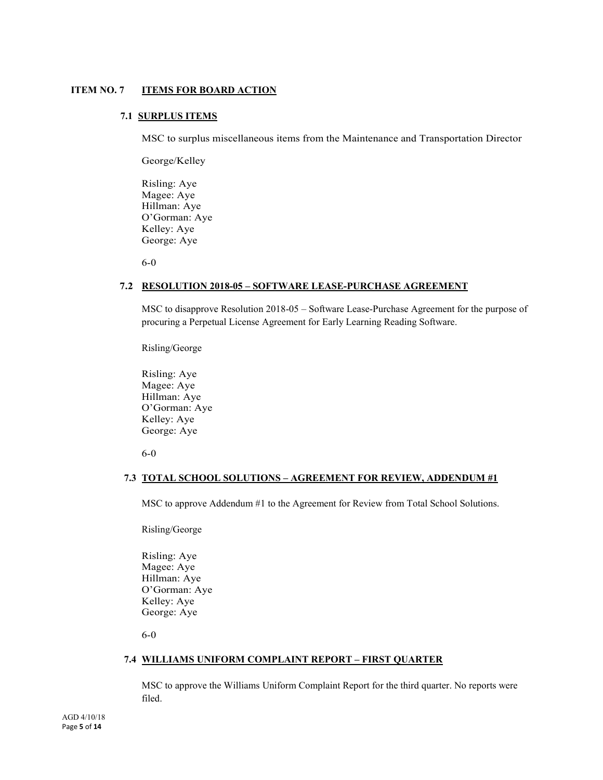# **ITEM NO. 7 ITEMS FOR BOARD ACTION**

## **7.1 SURPLUS ITEMS**

MSC to surplus miscellaneous items from the Maintenance and Transportation Director

George/Kelley

Risling: Aye Magee: Aye Hillman: Aye O'Gorman: Aye Kelley: Aye George: Aye

6-0

#### **7.2 RESOLUTION 2018-05 – SOFTWARE LEASE-PURCHASE AGREEMENT**

MSC to disapprove Resolution 2018-05 – Software Lease-Purchase Agreement for the purpose of procuring a Perpetual License Agreement for Early Learning Reading Software.

Risling/George

Risling: Aye Magee: Aye Hillman: Aye O'Gorman: Aye Kelley: Aye George: Aye

6-0

# **7.3 TOTAL SCHOOL SOLUTIONS – AGREEMENT FOR REVIEW, ADDENDUM #1**

MSC to approve Addendum #1 to the Agreement for Review from Total School Solutions.

Risling/George

Risling: Aye Magee: Aye Hillman: Aye O'Gorman: Aye Kelley: Aye George: Aye

6-0

#### **7.4 WILLIAMS UNIFORM COMPLAINT REPORT – FIRST QUARTER**

MSC to approve the Williams Uniform Complaint Report for the third quarter. No reports were filed.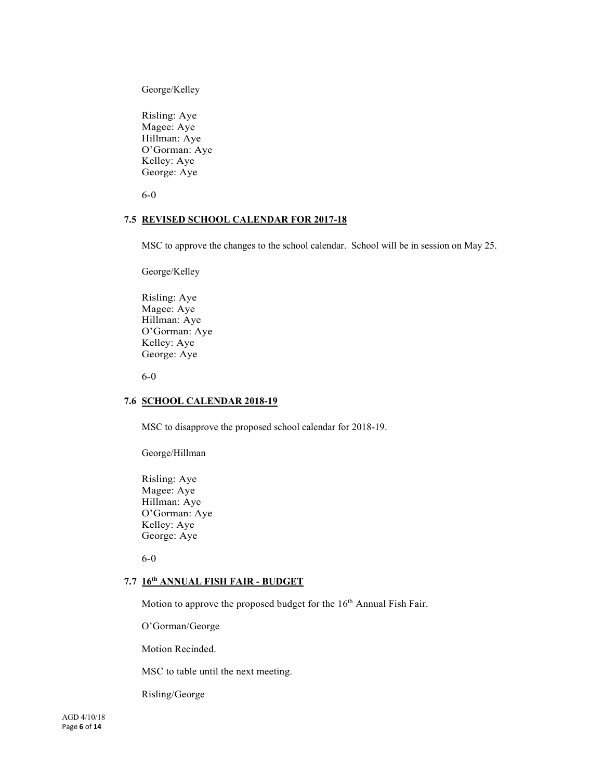George/Kelley

Risling: Aye Magee: Aye Hillman: Aye O'Gorman: Aye Kelley: Aye George: Aye

6-0

# **7.5 REVISED SCHOOL CALENDAR FOR 2017-18**

MSC to approve the changes to the school calendar. School will be in session on May 25.

George/Kelley

Risling: Aye Magee: Aye Hillman: Aye O'Gorman: Aye Kelley: Aye George: Aye

6-0

# **7.6 SCHOOL CALENDAR 2018-19**

MSC to disapprove the proposed school calendar for 2018-19.

George/Hillman

Risling: Aye Magee: Aye Hillman: Aye O'Gorman: Aye Kelley: Aye George: Aye

6-0

# **7.7 16th ANNUAL FISH FAIR - BUDGET**

Motion to approve the proposed budget for the 16<sup>th</sup> Annual Fish Fair.

O'Gorman/George

Motion Recinded.

MSC to table until the next meeting.

Risling/George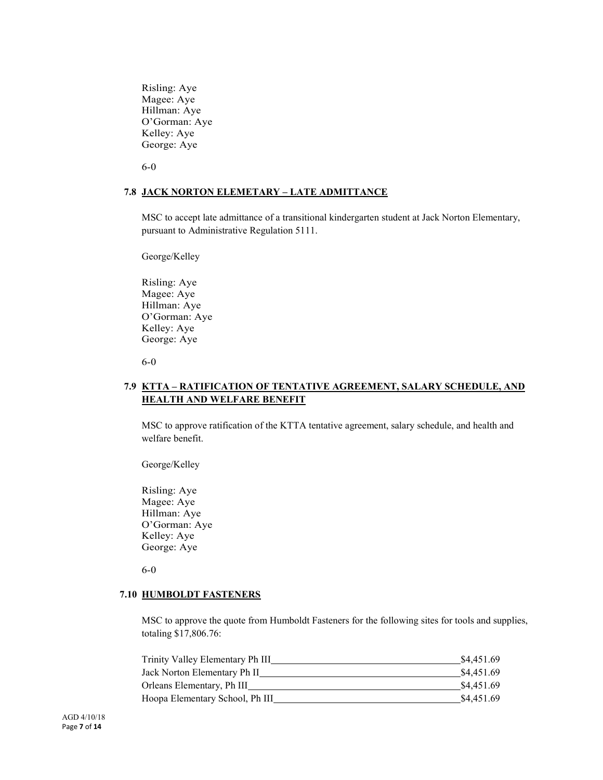Risling: Aye Magee: Aye Hillman: Aye O'Gorman: Aye Kelley: Aye George: Aye

6-0

# **7.8 JACK NORTON ELEMETARY – LATE ADMITTANCE**

MSC to accept late admittance of a transitional kindergarten student at Jack Norton Elementary, pursuant to Administrative Regulation 5111.

George/Kelley

Risling: Aye Magee: Aye Hillman: Aye O'Gorman: Aye Kelley: Aye George: Aye

6-0

# **7.9 KTTA – RATIFICATION OF TENTATIVE AGREEMENT, SALARY SCHEDULE, AND HEALTH AND WELFARE BENEFIT**

MSC to approve ratification of the KTTA tentative agreement, salary schedule, and health and welfare benefit.

George/Kelley

Risling: Aye Magee: Aye Hillman: Aye O'Gorman: Aye Kelley: Aye George: Aye

6-0

#### **7.10 HUMBOLDT FASTENERS**

MSC to approve the quote from Humboldt Fasteners for the following sites for tools and supplies, totaling \$17,806.76:

| \$4,451.69 |
|------------|
| \$4,451.69 |
| \$4,451.69 |
| \$4,451.69 |
|            |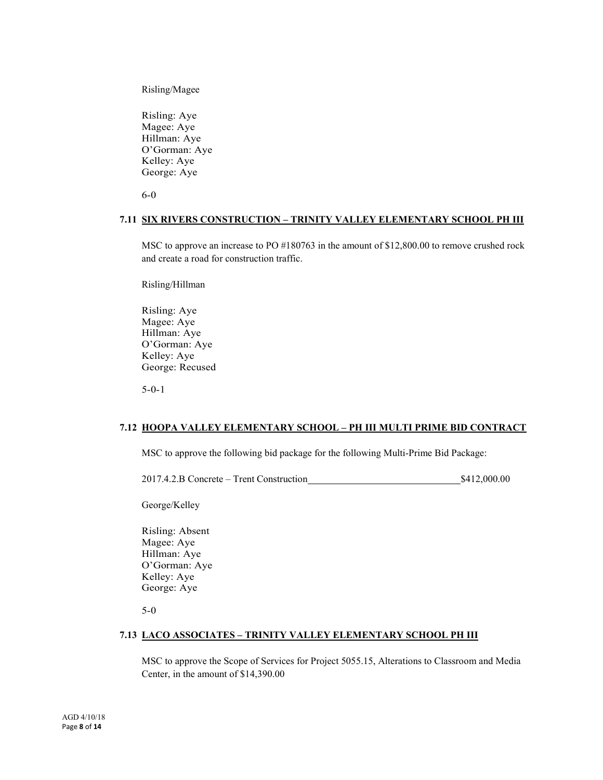Risling/Magee

Risling: Aye Magee: Aye Hillman: Aye O'Gorman: Aye Kelley: Aye George: Aye

6-0

#### **7.11 SIX RIVERS CONSTRUCTION – TRINITY VALLEY ELEMENTARY SCHOOL PH III**

MSC to approve an increase to PO #180763 in the amount of \$12,800.00 to remove crushed rock and create a road for construction traffic.

Risling/Hillman

Risling: Aye Magee: Aye Hillman: Aye O'Gorman: Aye Kelley: Aye George: Recused

5-0-1

#### **7.12 HOOPA VALLEY ELEMENTARY SCHOOL – PH III MULTI PRIME BID CONTRACT**

MSC to approve the following bid package for the following Multi-Prime Bid Package:

2017.4.2.B Concrete – Trent Construction \$412,000.00

George/Kelley

Risling: Absent Magee: Aye Hillman: Aye O'Gorman: Aye Kelley: Aye George: Aye

5-0

#### **7.13 LACO ASSOCIATES – TRINITY VALLEY ELEMENTARY SCHOOL PH III**

MSC to approve the Scope of Services for Project 5055.15, Alterations to Classroom and Media Center, in the amount of \$14,390.00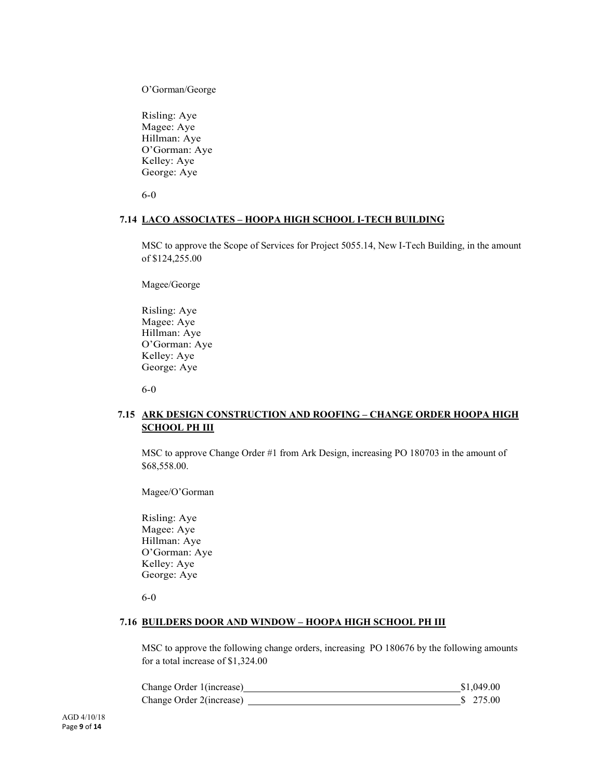O'Gorman/George

Risling: Aye Magee: Aye Hillman: Aye O'Gorman: Aye Kelley: Aye George: Aye

6-0

#### **7.14 LACO ASSOCIATES – HOOPA HIGH SCHOOL I-TECH BUILDING**

MSC to approve the Scope of Services for Project 5055.14, New I-Tech Building, in the amount of \$124,255.00

Magee/George

Risling: Aye Magee: Aye Hillman: Aye O'Gorman: Aye Kelley: Aye George: Aye

6-0

# **7.15 ARK DESIGN CONSTRUCTION AND ROOFING – CHANGE ORDER HOOPA HIGH SCHOOL PH III**

MSC to approve Change Order #1 from Ark Design, increasing PO 180703 in the amount of \$68,558.00.

Magee/O'Gorman

Risling: Aye Magee: Aye Hillman: Aye O'Gorman: Aye Kelley: Aye George: Aye

6-0

#### **7.16 BUILDERS DOOR AND WINDOW – HOOPA HIGH SCHOOL PH III**

MSC to approve the following change orders, increasing PO 180676 by the following amounts for a total increase of \$1,324.00

| Change Order 1(increase) | \$1,049.00 |
|--------------------------|------------|
| Change Order 2(increase) | \$ 275.00  |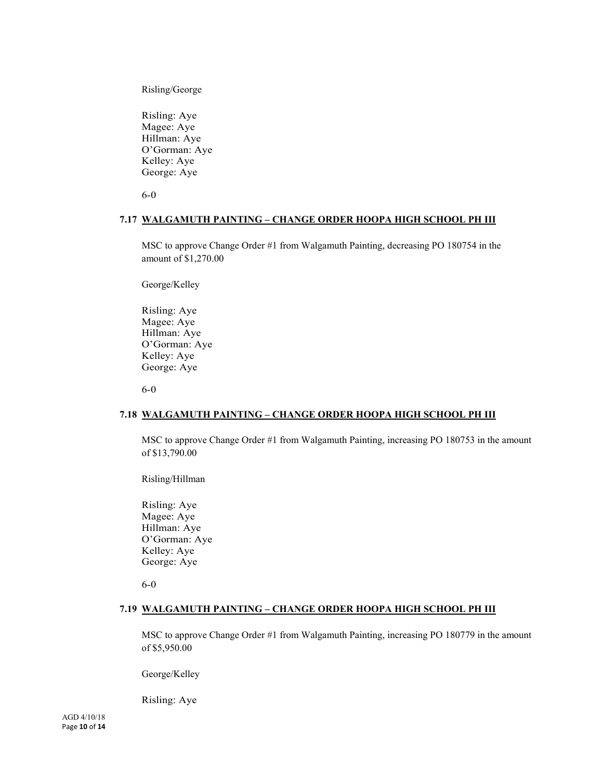Risling/George

Risling: Aye Magee: Aye Hillman: Aye O'Gorman: Aye Kelley: Aye George: Aye

6-0

#### **7.17 WALGAMUTH PAINTING – CHANGE ORDER HOOPA HIGH SCHOOL PH III**

MSC to approve Change Order #1 from Walgamuth Painting, decreasing PO 180754 in the amount of \$1,270.00

George/Kelley

Risling: Aye Magee: Aye Hillman: Aye O'Gorman: Aye Kelley: Aye George: Aye

6-0

#### **7.18 WALGAMUTH PAINTING – CHANGE ORDER HOOPA HIGH SCHOOL PH III**

MSC to approve Change Order #1 from Walgamuth Painting, increasing PO 180753 in the amount of \$13,790.00

Risling/Hillman

Risling: Aye Magee: Aye Hillman: Aye O'Gorman: Aye Kelley: Aye George: Aye

6-0

#### **7.19 WALGAMUTH PAINTING – CHANGE ORDER HOOPA HIGH SCHOOL PH III**

MSC to approve Change Order #1 from Walgamuth Painting, increasing PO 180779 in the amount of \$5,950.00

George/Kelley

Risling: Aye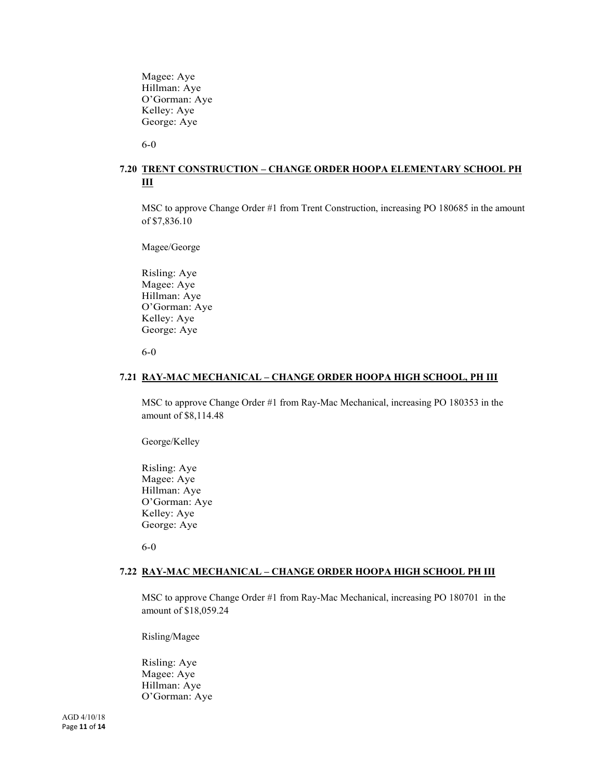Magee: Aye Hillman: Aye O'Gorman: Aye Kelley: Aye George: Aye

6-0

# **7.20 TRENT CONSTRUCTION – CHANGE ORDER HOOPA ELEMENTARY SCHOOL PH III**

MSC to approve Change Order #1 from Trent Construction, increasing PO 180685 in the amount of \$7,836.10

Magee/George

Risling: Aye Magee: Aye Hillman: Aye O'Gorman: Aye Kelley: Aye George: Aye

6-0

#### **7.21 RAY-MAC MECHANICAL – CHANGE ORDER HOOPA HIGH SCHOOL, PH III**

MSC to approve Change Order #1 from Ray-Mac Mechanical, increasing PO 180353 in the amount of \$8,114.48

George/Kelley

Risling: Aye Magee: Aye Hillman: Aye O'Gorman: Aye Kelley: Aye George: Aye

6-0

#### **7.22 RAY-MAC MECHANICAL – CHANGE ORDER HOOPA HIGH SCHOOL PH III**

MSC to approve Change Order #1 from Ray-Mac Mechanical, increasing PO 180701 in the amount of \$18,059.24

Risling/Magee

Risling: Aye Magee: Aye Hillman: Aye O'Gorman: Aye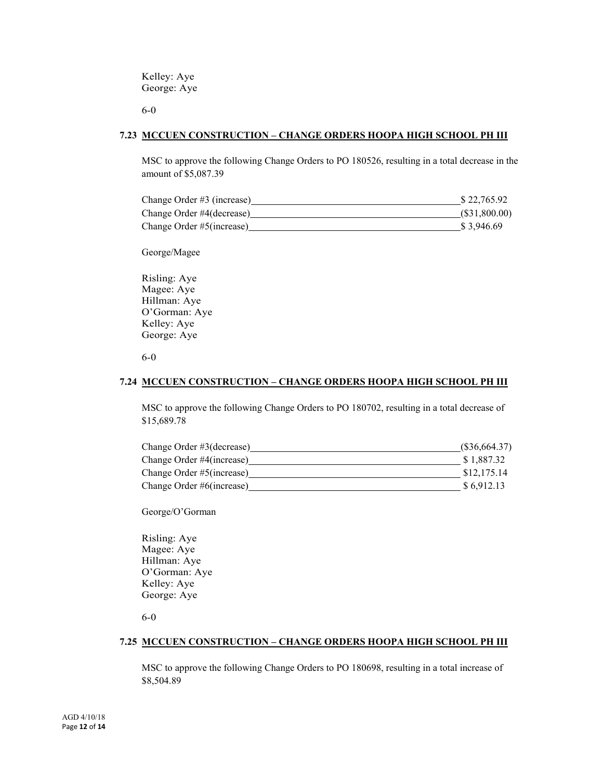Kelley: Aye George: Aye

6-0

#### **7.23 MCCUEN CONSTRUCTION – CHANGE ORDERS HOOPA HIGH SCHOOL PH III**

MSC to approve the following Change Orders to PO 180526, resulting in a total decrease in the amount of \$5,087.39

| Change Order #3 (increase) | \$22,765.92  |
|----------------------------|--------------|
| Change Order #4(decrease)  | (S31,800.00) |
| Change Order #5(increase)  | \$3.946.69   |

George/Magee

Risling: Aye Magee: Aye Hillman: Aye O'Gorman: Aye Kelley: Aye George: Aye

#### 6-0

#### **7.24 MCCUEN CONSTRUCTION – CHANGE ORDERS HOOPA HIGH SCHOOL PH III**

MSC to approve the following Change Orders to PO 180702, resulting in a total decrease of \$15,689.78

| Change Order #3(decrease) | (S36, 664.37) |
|---------------------------|---------------|
| Change Order #4(increase) | \$1,887.32    |
| Change Order #5(increase) | \$12,175.14   |
| Change Order #6(increase) | \$6,912.13    |

George/O'Gorman

Risling: Aye Magee: Aye Hillman: Aye O'Gorman: Aye Kelley: Aye George: Aye

6-0

#### **7.25 MCCUEN CONSTRUCTION – CHANGE ORDERS HOOPA HIGH SCHOOL PH III**

MSC to approve the following Change Orders to PO 180698, resulting in a total increase of \$8,504.89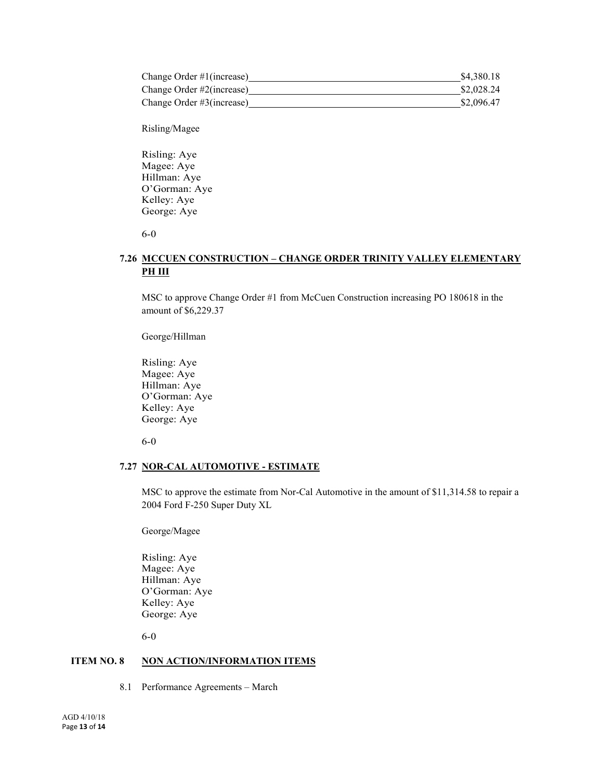| Change Order $\#1$ (increase) | \$4.380.18 |
|-------------------------------|------------|
| Change Order #2(increase)     | \$2,028.24 |
| Change Order #3(increase)     | \$2,096.47 |

Risling/Magee

Risling: Aye Magee: Aye Hillman: Aye O'Gorman: Aye Kelley: Aye George: Aye

6-0

# **7.26 MCCUEN CONSTRUCTION – CHANGE ORDER TRINITY VALLEY ELEMENTARY PH III**

MSC to approve Change Order #1 from McCuen Construction increasing PO 180618 in the amount of \$6,229.37

George/Hillman

Risling: Aye Magee: Aye Hillman: Aye O'Gorman: Aye Kelley: Aye George: Aye

6-0

#### **7.27 NOR-CAL AUTOMOTIVE - ESTIMATE**

MSC to approve the estimate from Nor-Cal Automotive in the amount of \$11,314.58 to repair a 2004 Ford F-250 Super Duty XL

George/Magee

Risling: Aye Magee: Aye Hillman: Aye O'Gorman: Aye Kelley: Aye George: Aye

6-0

# **ITEM NO. 8 NON ACTION/INFORMATION ITEMS**

8.1 Performance Agreements – March

AGD 4/10/18 Page **13** of **14**